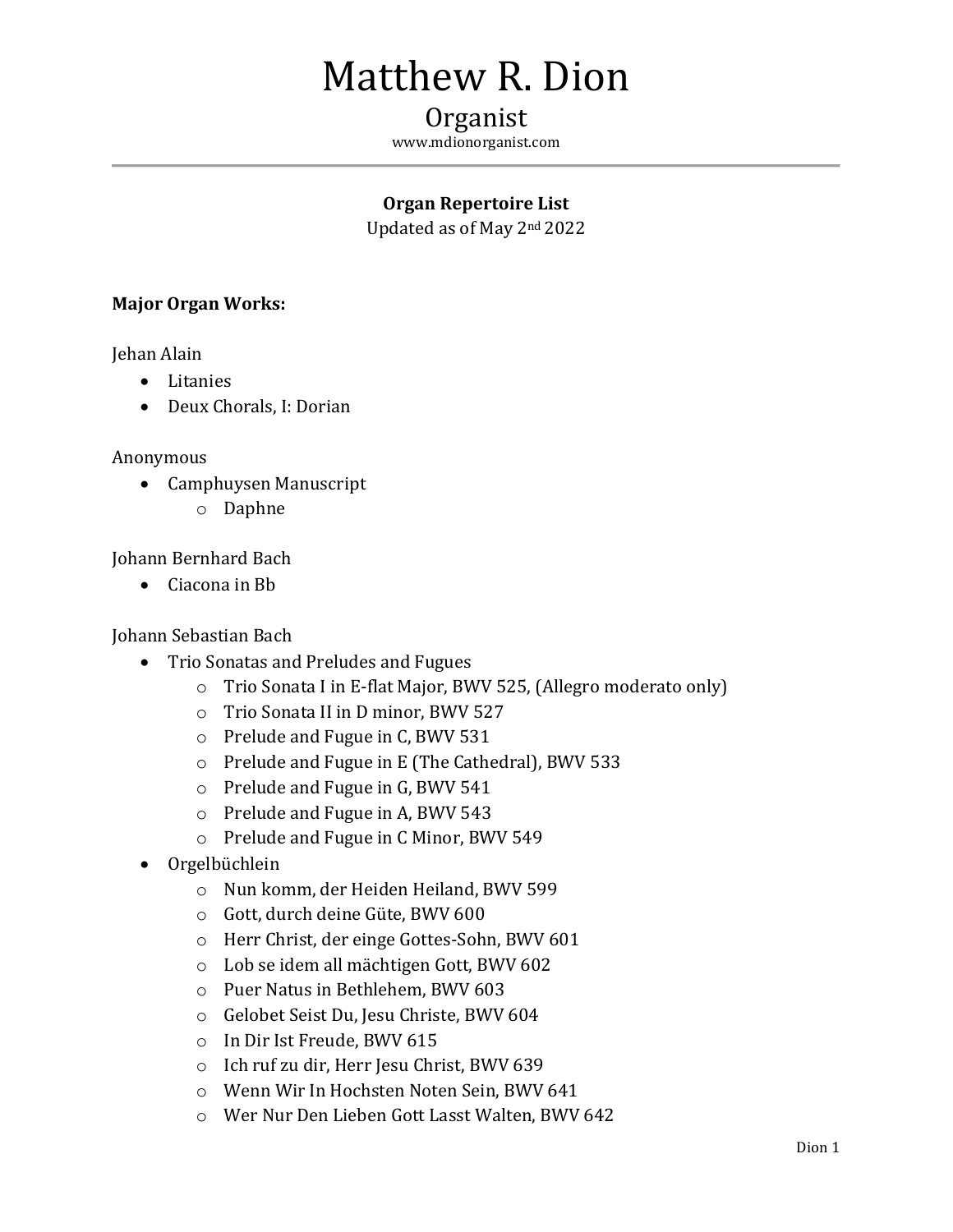# Matthew R. Dion

# Organist

www.mdionorganist.com

# **Organ Repertoire List**

Updated as of May 2nd 2022

## **Major Organ Works:**

Jehan Alain

- Litanies
- Deux Chorals, I: Dorian

#### Anonymous

- Camphuysen Manuscript
	- o Daphne

Johann Bernhard Bach

• Ciacona in Bb

#### Johann Sebastian Bach

- Trio Sonatas and Preludes and Fugues
	- o Trio Sonata I in E-flat Major, BWV 525, (Allegro moderato only)
	- o Trio Sonata II in D minor, BWV 527
	- o Prelude and Fugue in C, BWV 531
	- o Prelude and Fugue in E (The Cathedral), BWV 533
	- o Prelude and Fugue in G, BWV 541
	- o Prelude and Fugue in A, BWV 543
	- o Prelude and Fugue in C Minor, BWV 549
- Orgelbüchlein
	- o Nun komm, der Heiden Heiland, BWV 599
	- o Gott, durch deine Güte, BWV 600
	- o Herr Christ, der einge Gottes-Sohn, BWV 601
	- o Lob se idem all mächtigen Gott, BWV 602
	- o Puer Natus in Bethlehem, BWV 603
	- o Gelobet Seist Du, Jesu Christe, BWV 604
	- o In Dir Ist Freude, BWV 615
	- o Ich ruf zu dir, Herr Jesu Christ, BWV 639
	- o Wenn Wir In Hochsten Noten Sein, BWV 641
	- o Wer Nur Den Lieben Gott Lasst Walten, BWV 642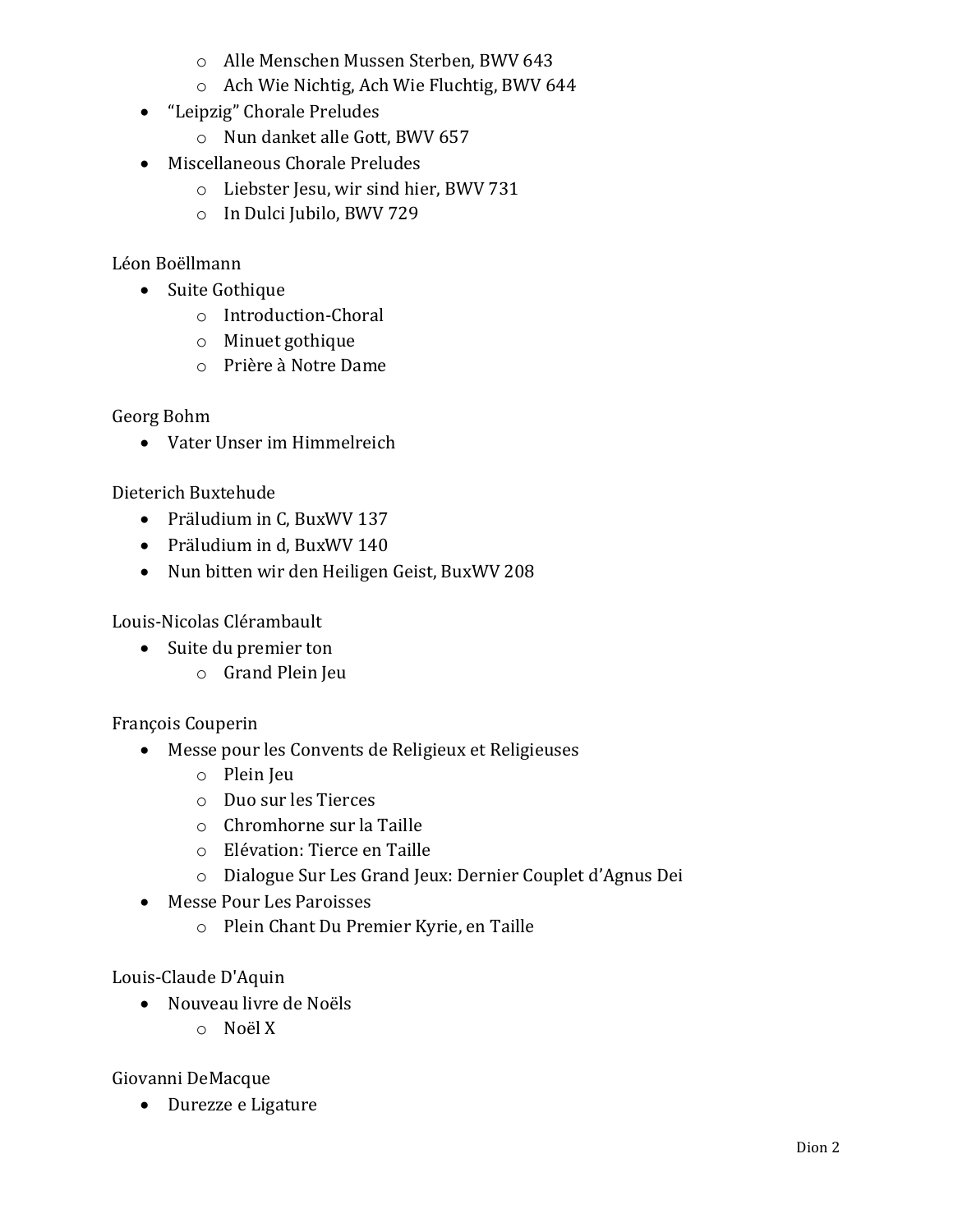- o Alle Menschen Mussen Sterben, BWV 643
- o Ach Wie Nichtig, Ach Wie Fluchtig, BWV 644
- "Leipzig" Chorale Preludes
	- o Nun danket alle Gott, BWV 657
- Miscellaneous Chorale Preludes
	- o Liebster Jesu, wir sind hier, BWV 731
	- o In Dulci Jubilo, BWV 729

# Léon Boëllmann

- Suite Gothique
	- o Introduction-Choral
	- o Minuet gothique
	- o Prière à Notre Dame

## Georg Bohm

• Vater Unser im Himmelreich

Dieterich Buxtehude

- Präludium in C, BuxWV 137
- Präludium in d, BuxWV 140
- Nun bitten wir den Heiligen Geist, BuxWV 208

Louis-Nicolas Clérambault

- Suite du premier ton
	- o Grand Plein Jeu

François Couperin

- Messe pour les Convents de Religieux et Religieuses
	- o Plein Jeu
	- o Duo sur les Tierces
	- o Chromhorne sur la Taille
	- o Elévation: Tierce en Taille
	- o Dialogue Sur Les Grand Jeux: Dernier Couplet d'Agnus Dei
- Messe Pour Les Paroisses
	- o Plein Chant Du Premier Kyrie, en Taille

Louis-Claude D'Aquin

- Nouveau livre de Noëls
	- o Noël X

Giovanni DeMacque

• Durezze e Ligature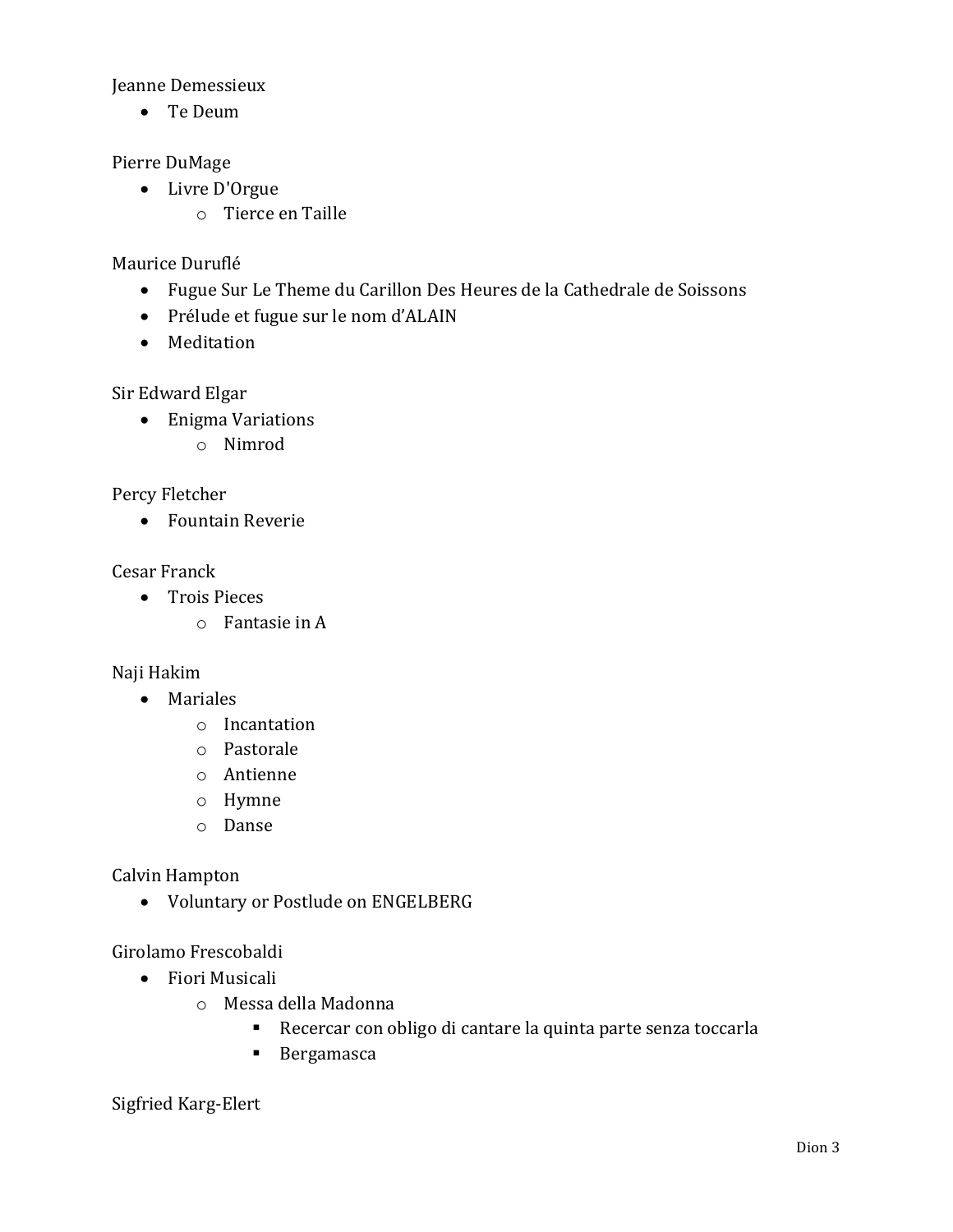Jeanne Demessieux

• Te Deum

Pierre DuMage

- Livre D'Orgue
	- o Tierce en Taille

Maurice Duruflé

- Fugue Sur Le Theme du Carillon Des Heures de la Cathedrale de Soissons
- Prélude et fugue sur le nom d'ALAIN
- Meditation

Sir Edward Elgar

- Enigma Variations
	- o Nimrod

Percy Fletcher

• Fountain Reverie

Cesar Franck

- Trois Pieces
	- o Fantasie in A

Naji Hakim

- Mariales
	- o Incantation
	- o Pastorale
	- o Antienne
	- o Hymne
	- o Danse

Calvin Hampton

• Voluntary or Postlude on ENGELBERG

Girolamo Frescobaldi

- Fiori Musicali
	- o Messa della Madonna
		- Recercar con obligo di cantare la quinta parte senza toccarla
		- Bergamasca

Sigfried Karg-Elert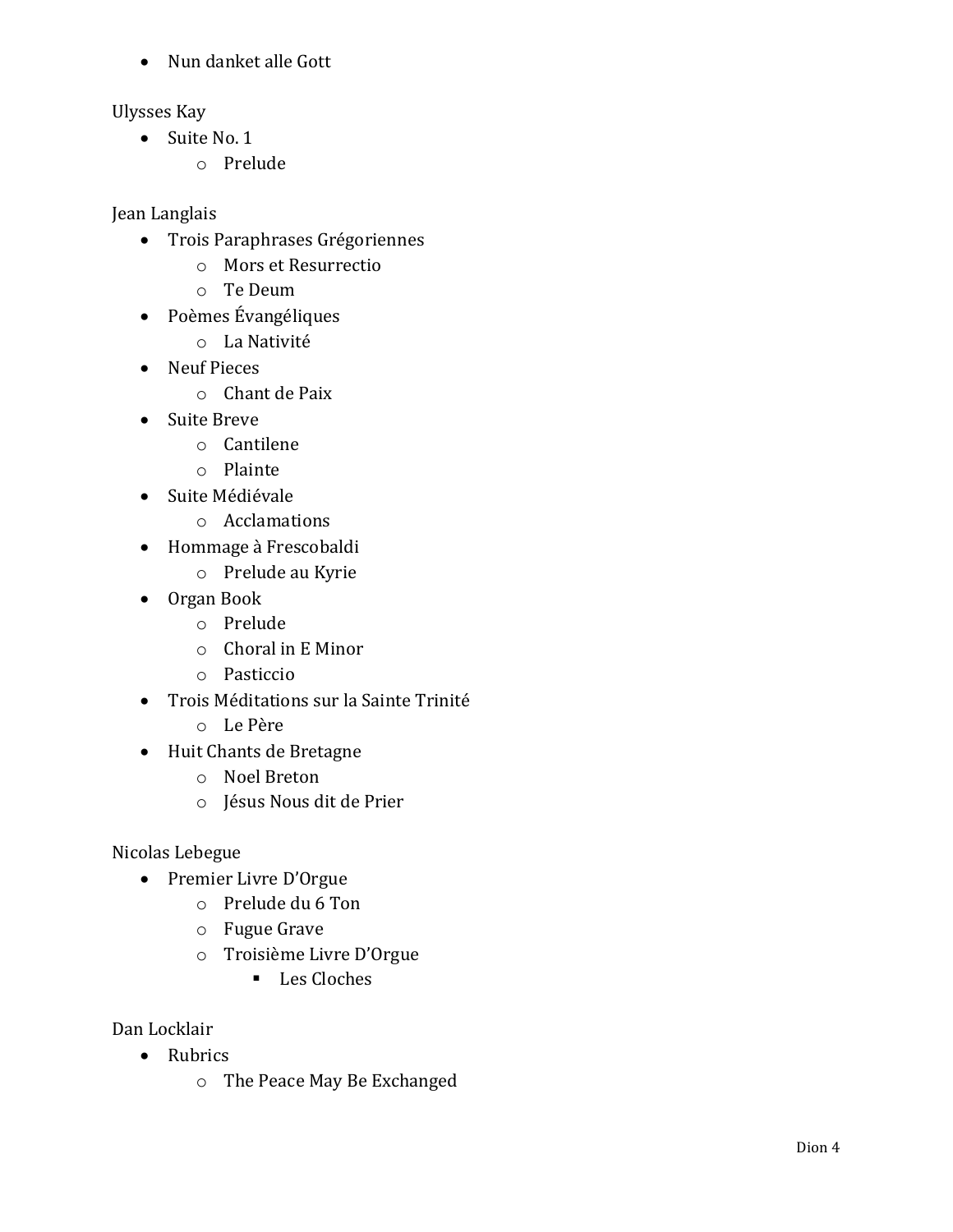• Nun danket alle Gott

Ulysses Kay

- Suite No. 1
	- o Prelude

Jean Langlais

- Trois Paraphrases Grégoriennes
	- o Mors et Resurrectio
	- o Te Deum
- Poèmes Évangéliques
	- o La Nativité
- Neuf Pieces
	- o Chant de Paix
- Suite Breve
	- o Cantilene
	- o Plainte
- Suite Médiévale
	- o Acclamations
- Hommage à Frescobaldi
	- o Prelude au Kyrie
- Organ Book
	- o Prelude
	- o Choral in E Minor
	- o Pasticcio
- Trois Méditations sur la Sainte Trinité
	- o Le Père
- Huit Chants de Bretagne
	- o Noel Breton
	- o Jésus Nous dit de Prier

Nicolas Lebegue

- Premier Livre D'Orgue
	- o Prelude du 6 Ton
	- o Fugue Grave
	- o Troisième Livre D'Orgue
		- Les Cloches

Dan Locklair

- Rubrics
	- o The Peace May Be Exchanged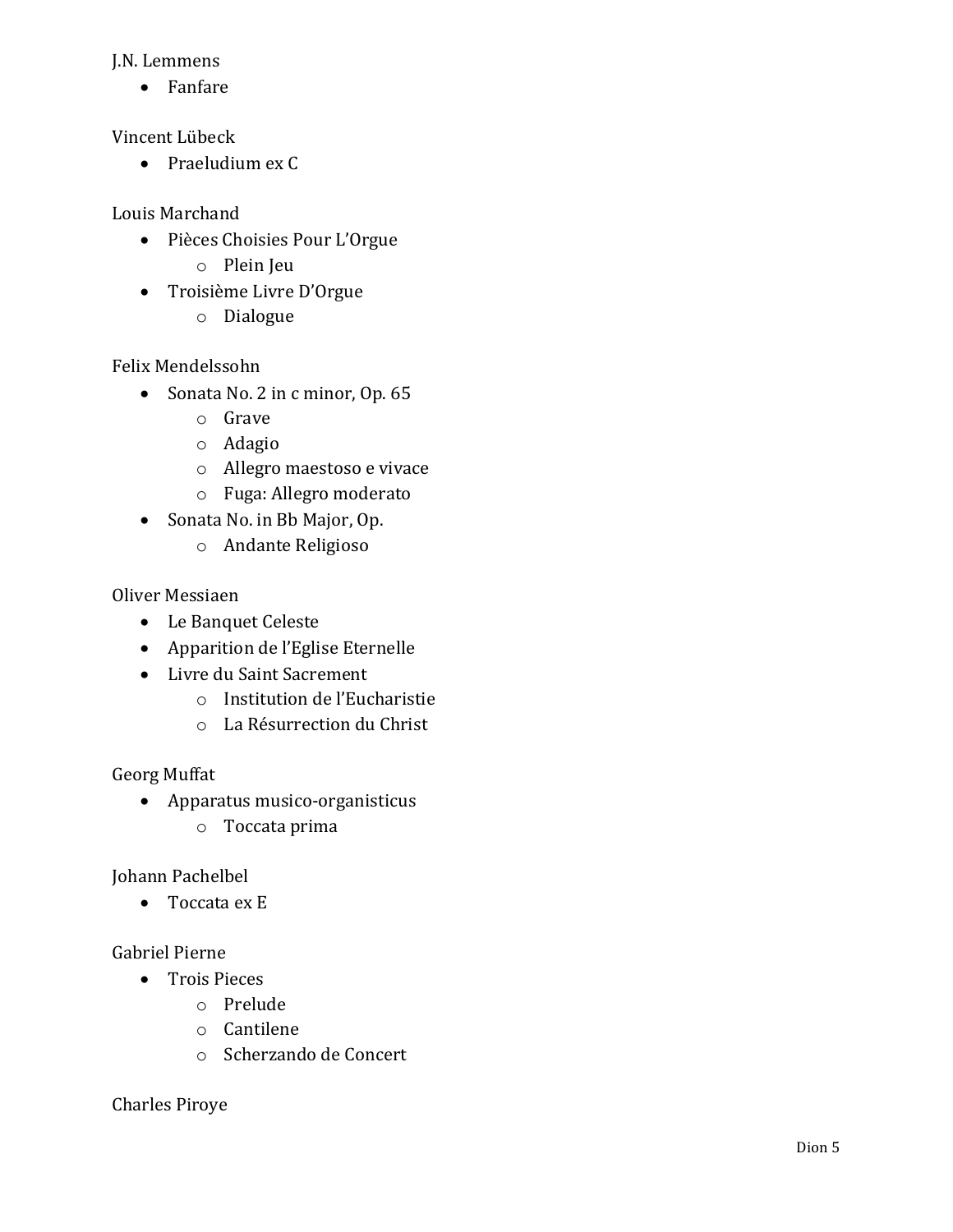#### J.N. Lemmens

• Fanfare

Vincent Lübeck

• Praeludium ex C

Louis Marchand

- Pièces Choisies Pour L'Orgue
	- o Plein Jeu
- Troisième Livre D'Orgue
	- o Dialogue

Felix Mendelssohn

- Sonata No. 2 in c minor, Op. 65
	- o Grave
	- o Adagio
	- o Allegro maestoso e vivace
	- o Fuga: Allegro moderato
- Sonata No. in Bb Major, Op.
	- o Andante Religioso

Oliver Messiaen

- Le Banquet Celeste
- Apparition de l'Eglise Eternelle
- Livre du Saint Sacrement
	- o Institution de l'Eucharistie
	- o La Résurrection du Christ

Georg Muffat

- Apparatus musico-organisticus
	- o Toccata prima

Johann Pachelbel

• Toccata ex E

Gabriel Pierne

- Trois Pieces
	- o Prelude
	- o Cantilene
	- o Scherzando de Concert

Charles Piroye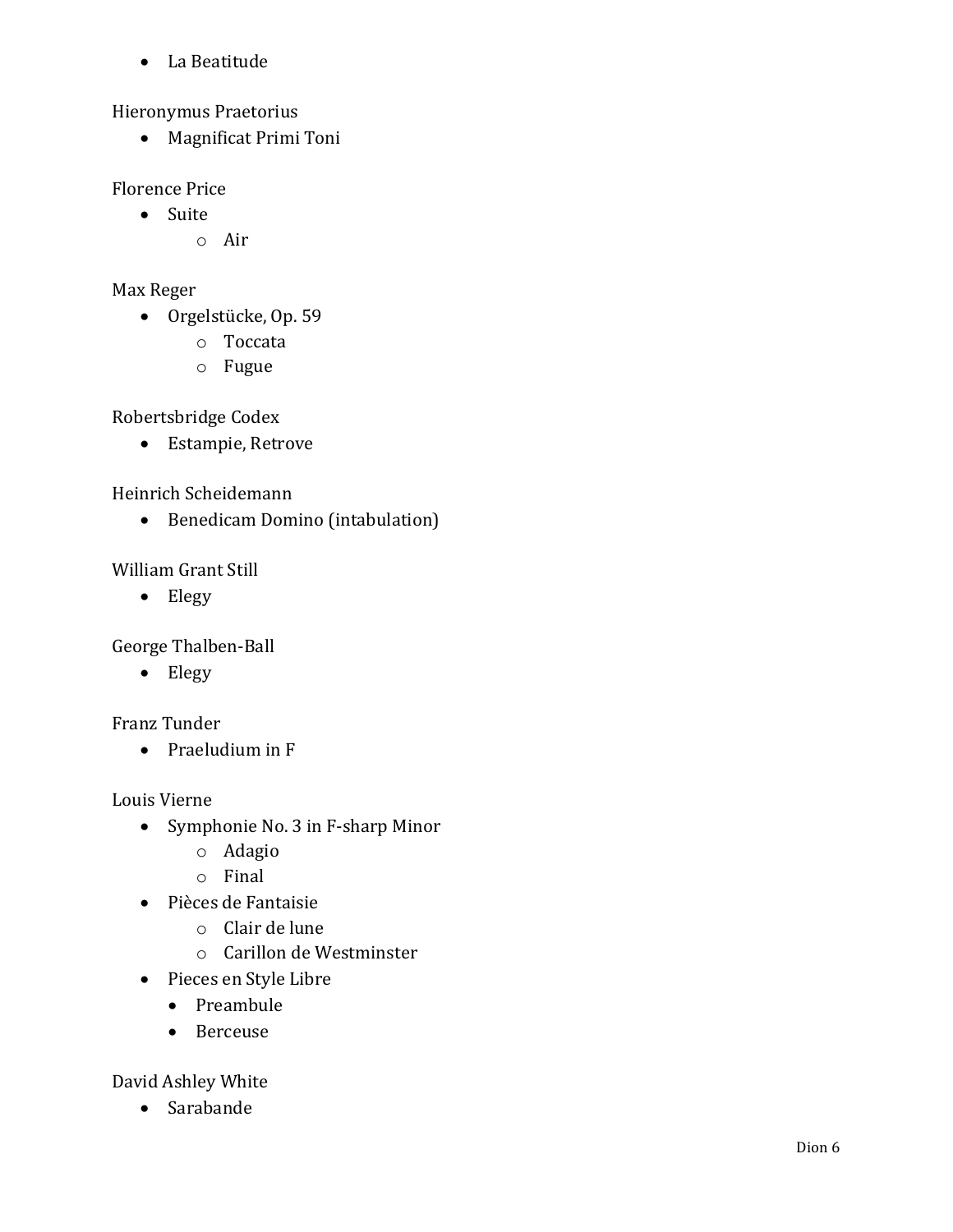• La Beatitude

Hieronymus Praetorius

• Magnificat Primi Toni

Florence Price

- Suite
	- o Air

Max Reger

- Orgelstücke, Op. 59
	- o Toccata
	- o Fugue

Robertsbridge Codex

• Estampie, Retrove

Heinrich Scheidemann

• Benedicam Domino (intabulation)

William Grant Still

• Elegy

George Thalben-Ball

• Elegy

Franz Tunder

• Praeludium in F

Louis Vierne

- Symphonie No. 3 in F-sharp Minor
	- o Adagio
	- o Final
- Pièces de Fantaisie
	- o Clair de lune
	- o Carillon de Westminster
- Pieces en Style Libre
	- Preambule
	- Berceuse

David Ashley White

• Sarabande